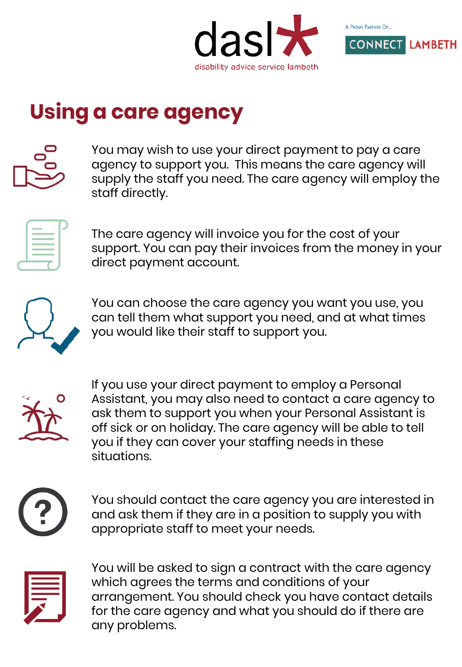



## **Using a care agency**

You may wish to use your direct payment to pay a care agency to support you. This means the care agency will supply the staff you need. The care agency will employ the staff directly.



The care agency will invoice you for the cost of your support. You can pay their invoices from the money in your direct payment account.



You can choose the care agency you want you use, you can tell them what support you need, and at what times you would like their staff to support you.



If you use your direct payment to employ a Personal Assistant, you may also need to contact a care agency to ask them to support you when your Personal Assistant is off sick or on holiday. The care agency will be able to tell you if they can cover your staffing needs in these situations.



You should contact the care agency you are interested in and ask them if they are in a position to supply you with appropriate staff to meet your needs.



You will be asked to sign a contract with the care agency which agrees the terms and conditions of your arrangement. You should check you have contact details for the care agency and what you should do if there are any problems.